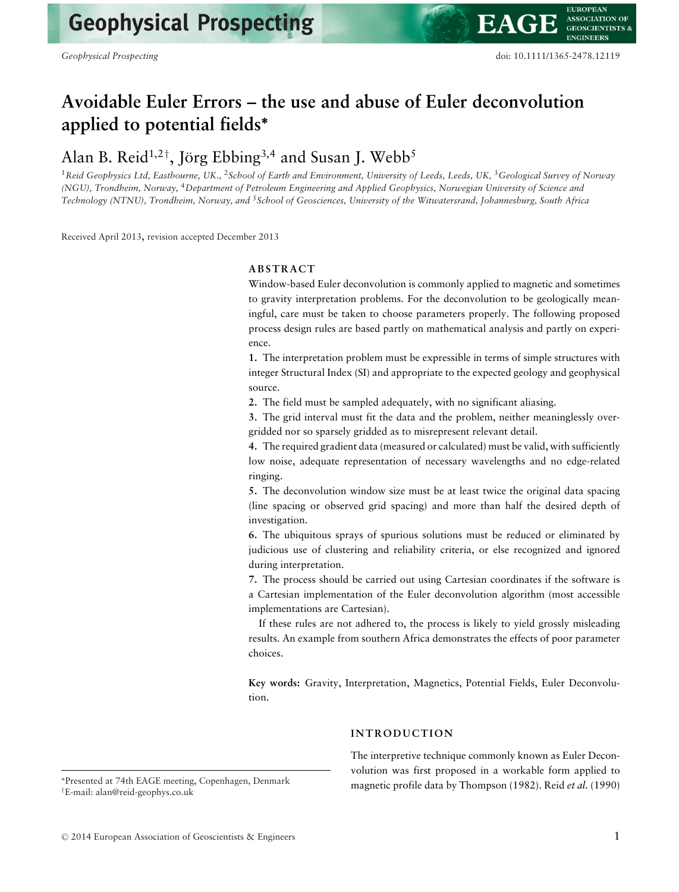# **Avoidable Euler Errors – the use and abuse of Euler deconvolution applied to potential fields<sup>∗</sup>**

Alan B. Reid $^{1,2\dagger},$  Jörg Ebbing $^{3,4}$  and Susan J. Webb $^5$ 

<sup>1</sup>*Reid Geophysics Ltd, Eastbourne, UK.,* <sup>2</sup>*School of Earth and Environment, University of Leeds, Leeds, UK,* <sup>3</sup>*Geological Survey of Norway (NGU), Trondheim, Norway,* <sup>4</sup>*Department of Petroleum Engineering and Applied Geophysics, Norwegian University of Science and Technology (NTNU), Trondheim, Norway, and* <sup>5</sup>*School of Geosciences, University of the Witwatersrand, Johannesburg, South Africa*

Received April 2013, revision accepted December 2013

# **ABSTRACT**

Window-based Euler deconvolution is commonly applied to magnetic and sometimes to gravity interpretation problems. For the deconvolution to be geologically meaningful, care must be taken to choose parameters properly. The following proposed process design rules are based partly on mathematical analysis and partly on experience.

**1.** The interpretation problem must be expressible in terms of simple structures with integer Structural Index (SI) and appropriate to the expected geology and geophysical source.

**2.** The field must be sampled adequately, with no significant aliasing.

**3.** The grid interval must fit the data and the problem, neither meaninglessly overgridded nor so sparsely gridded as to misrepresent relevant detail.

**4.** The required gradient data (measured or calculated) must be valid, with sufficiently low noise, adequate representation of necessary wavelengths and no edge-related ringing.

**5.** The deconvolution window size must be at least twice the original data spacing (line spacing or observed grid spacing) and more than half the desired depth of investigation.

**6.** The ubiquitous sprays of spurious solutions must be reduced or eliminated by judicious use of clustering and reliability criteria, or else recognized and ignored during interpretation.

**7.** The process should be carried out using Cartesian coordinates if the software is a Cartesian implementation of the Euler deconvolution algorithm (most accessible implementations are Cartesian).

If these rules are not adhered to, the process is likely to yield grossly misleading results. An example from southern Africa demonstrates the effects of poor parameter choices.

**Key words:** Gravity, Interpretation, Magnetics, Potential Fields, Euler Deconvolution.

# **INTRODUCTION**

∗Presented at 74th EAGE meeting, Copenhagen, Denmark †E-mail: alan@reid-geophys.co.uk

The interpretive technique commonly known as Euler Deconvolution was first proposed in a workable form applied to magnetic profile data by Thompson (1982). Reid *et al.* (1990)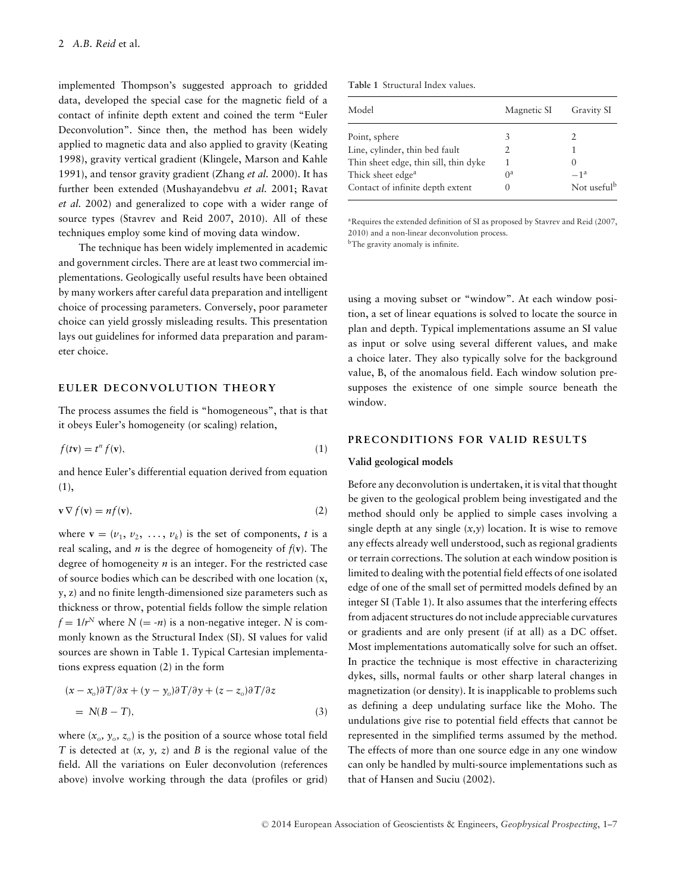implemented Thompson's suggested approach to gridded data, developed the special case for the magnetic field of a contact of infinite depth extent and coined the term "Euler Deconvolution". Since then, the method has been widely applied to magnetic data and also applied to gravity (Keating 1998), gravity vertical gradient (Klingele, Marson and Kahle 1991), and tensor gravity gradient (Zhang *et al.* 2000). It has further been extended (Mushayandebvu *et al.* 2001; Ravat *et al.* 2002) and generalized to cope with a wider range of source types (Stavrev and Reid 2007, 2010). All of these techniques employ some kind of moving data window.

The technique has been widely implemented in academic and government circles. There are at least two commercial implementations. Geologically useful results have been obtained by many workers after careful data preparation and intelligent choice of processing parameters. Conversely, poor parameter choice can yield grossly misleading results. This presentation lays out guidelines for informed data preparation and parameter choice.

# **EULER DECONVOLUTION THEORY**

The process assumes the field is "homogeneous", that is that it obeys Euler's homogeneity (or scaling) relation,

$$
f(t\mathbf{v}) = t^n f(\mathbf{v}),\tag{1}
$$

and hence Euler's differential equation derived from equation (1),

$$
\mathbf{v} \nabla f(\mathbf{v}) = n f(\mathbf{v}),\tag{2}
$$

where  $\mathbf{v} = (v_1, v_2, \ldots, v_k)$  is the set of components, *t* is a real scaling, and *n* is the degree of homogeneity of *f*(**v**). The degree of homogeneity *n* is an integer. For the restricted case of source bodies which can be described with one location (x, y, z) and no finite length-dimensioned size parameters such as thickness or throw, potential fields follow the simple relation  $f = 1/r^N$  where  $N (= -n)$  is a non-negative integer. N is commonly known as the Structural Index (SI). SI values for valid sources are shown in Table 1. Typical Cartesian implementations express equation (2) in the form

$$
(x - xo)\partial T/\partial x + (y - yo)\partial T/\partial y + (z - zo)\partial T/\partial z
$$
  
= N(B - T), (3)

where  $(x_o, y_o, z_o)$  is the position of a source whose total field *T* is detected at (*x, y, z*) and *B* is the regional value of the field. All the variations on Euler deconvolution (references above) involve working through the data (profiles or grid)

**Table 1** Structural Index values.

| Model                                 | Magnetic SI      | Gravity SI       |
|---------------------------------------|------------------|------------------|
| Point, sphere                         | 3                |                  |
| Line, cylinder, thin bed fault        | 2                |                  |
| Thin sheet edge, thin sill, thin dyke |                  | $\left( \right)$ |
| Thick sheet edge <sup>a</sup>         | $()^a$           | $-1a$            |
| Contact of infinite depth extent      | $\left( \right)$ | Not usefulb      |

<sup>a</sup>Requires the extended definition of SI as proposed by Stavrev and Reid (2007, 2010) and a non-linear deconvolution process.

bThe gravity anomaly is infinite.

using a moving subset or "window". At each window position, a set of linear equations is solved to locate the source in plan and depth. Typical implementations assume an SI value as input or solve using several different values, and make a choice later. They also typically solve for the background value, B, of the anomalous field. Each window solution presupposes the existence of one simple source beneath the window.

## **PRECONDITIONS FOR VALID RESULTS**

## **Valid geological models**

Before any deconvolution is undertaken, it is vital that thought be given to the geological problem being investigated and the method should only be applied to simple cases involving a single depth at any single  $(x,y)$  location. It is wise to remove any effects already well understood, such as regional gradients or terrain corrections. The solution at each window position is limited to dealing with the potential field effects of one isolated edge of one of the small set of permitted models defined by an integer SI (Table 1). It also assumes that the interfering effects from adjacent structures do not include appreciable curvatures or gradients and are only present (if at all) as a DC offset. Most implementations automatically solve for such an offset. In practice the technique is most effective in characterizing dykes, sills, normal faults or other sharp lateral changes in magnetization (or density). It is inapplicable to problems such as defining a deep undulating surface like the Moho. The undulations give rise to potential field effects that cannot be represented in the simplified terms assumed by the method. The effects of more than one source edge in any one window can only be handled by multi-source implementations such as that of Hansen and Suciu (2002).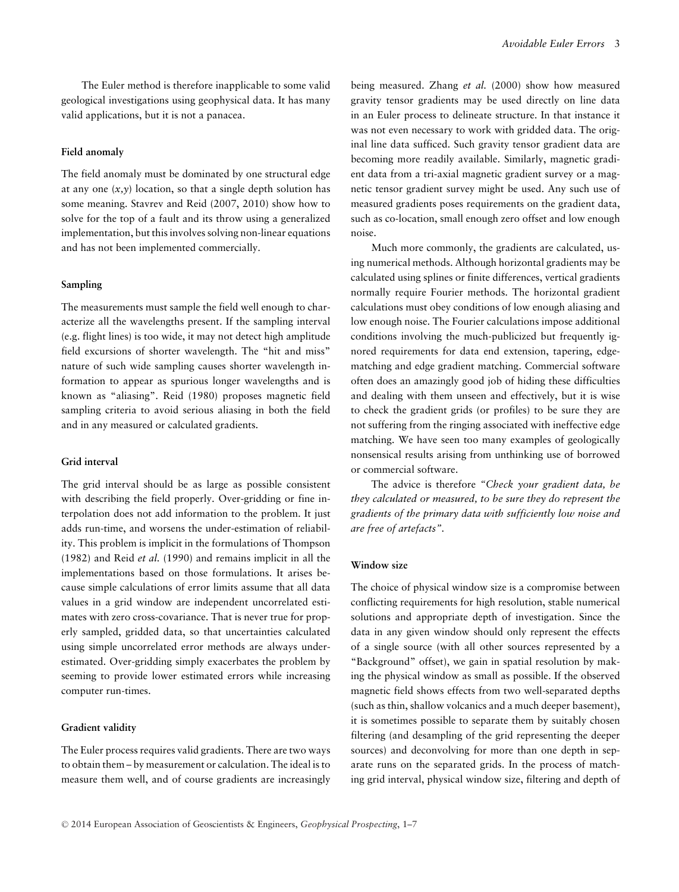#### **Field anomaly**

The field anomaly must be dominated by one structural edge at any one  $(x, y)$  location, so that a single depth solution has some meaning. Stavrev and Reid (2007, 2010) show how to solve for the top of a fault and its throw using a generalized implementation, but this involves solving non-linear equations and has not been implemented commercially.

geological investigations using geophysical data. It has many

valid applications, but it is not a panacea.

#### **Sampling**

The measurements must sample the field well enough to characterize all the wavelengths present. If the sampling interval (e.g. flight lines) is too wide, it may not detect high amplitude field excursions of shorter wavelength. The "hit and miss" nature of such wide sampling causes shorter wavelength information to appear as spurious longer wavelengths and is known as "aliasing". Reid (1980) proposes magnetic field sampling criteria to avoid serious aliasing in both the field and in any measured or calculated gradients.

## **Grid interval**

The grid interval should be as large as possible consistent with describing the field properly. Over-gridding or fine interpolation does not add information to the problem. It just adds run-time, and worsens the under-estimation of reliability. This problem is implicit in the formulations of Thompson (1982) and Reid *et al.* (1990) and remains implicit in all the implementations based on those formulations. It arises because simple calculations of error limits assume that all data values in a grid window are independent uncorrelated estimates with zero cross-covariance. That is never true for properly sampled, gridded data, so that uncertainties calculated using simple uncorrelated error methods are always underestimated. Over-gridding simply exacerbates the problem by seeming to provide lower estimated errors while increasing computer run-times.

#### **Gradient validity**

The Euler process requires valid gradients. There are two ways to obtain them – by measurement or calculation. The ideal is to measure them well, and of course gradients are increasingly being measured. Zhang *et al.* (2000) show how measured gravity tensor gradients may be used directly on line data in an Euler process to delineate structure. In that instance it was not even necessary to work with gridded data. The original line data sufficed. Such gravity tensor gradient data are becoming more readily available. Similarly, magnetic gradient data from a tri-axial magnetic gradient survey or a magnetic tensor gradient survey might be used. Any such use of measured gradients poses requirements on the gradient data, such as co-location, small enough zero offset and low enough noise.

Much more commonly, the gradients are calculated, using numerical methods. Although horizontal gradients may be calculated using splines or finite differences, vertical gradients normally require Fourier methods. The horizontal gradient calculations must obey conditions of low enough aliasing and low enough noise. The Fourier calculations impose additional conditions involving the much-publicized but frequently ignored requirements for data end extension, tapering, edgematching and edge gradient matching. Commercial software often does an amazingly good job of hiding these difficulties and dealing with them unseen and effectively, but it is wise to check the gradient grids (or profiles) to be sure they are not suffering from the ringing associated with ineffective edge matching. We have seen too many examples of geologically nonsensical results arising from unthinking use of borrowed or commercial software.

The advice is therefore *"Check your gradient data, be they calculated or measured, to be sure they do represent the gradients of the primary data with sufficiently low noise and are free of artefacts".*

# **Window size**

The choice of physical window size is a compromise between conflicting requirements for high resolution, stable numerical solutions and appropriate depth of investigation. Since the data in any given window should only represent the effects of a single source (with all other sources represented by a "Background" offset), we gain in spatial resolution by making the physical window as small as possible. If the observed magnetic field shows effects from two well-separated depths (such as thin, shallow volcanics and a much deeper basement), it is sometimes possible to separate them by suitably chosen filtering (and desampling of the grid representing the deeper sources) and deconvolving for more than one depth in separate runs on the separated grids. In the process of matching grid interval, physical window size, filtering and depth of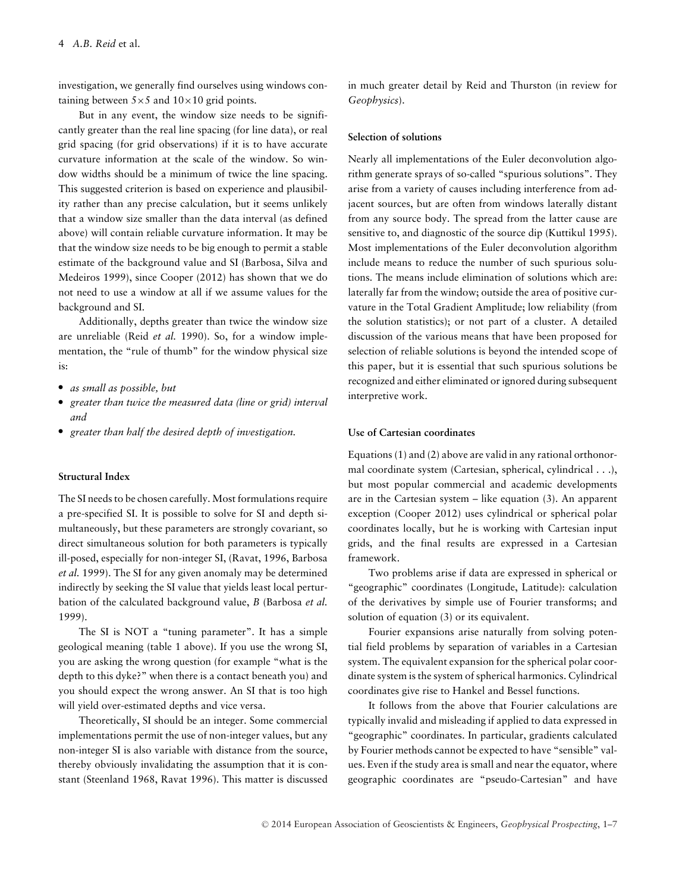investigation, we generally find ourselves using windows containing between  $5 \times 5$  and  $10 \times 10$  grid points.

But in any event, the window size needs to be significantly greater than the real line spacing (for line data), or real grid spacing (for grid observations) if it is to have accurate curvature information at the scale of the window. So window widths should be a minimum of twice the line spacing. This suggested criterion is based on experience and plausibility rather than any precise calculation, but it seems unlikely that a window size smaller than the data interval (as defined above) will contain reliable curvature information. It may be that the window size needs to be big enough to permit a stable estimate of the background value and SI (Barbosa, Silva and Medeiros 1999), since Cooper (2012) has shown that we do not need to use a window at all if we assume values for the background and SI.

Additionally, depths greater than twice the window size are unreliable (Reid *et al.* 1990). So, for a window implementation, the "rule of thumb" for the window physical size is:

- *as small as possible, but*
- *greater than twice the measured data (line or grid) interval and*
- *greater than half the desired depth of investigation.*

## **Structural Index**

The SI needs to be chosen carefully. Most formulations require a pre-specified SI. It is possible to solve for SI and depth simultaneously, but these parameters are strongly covariant, so direct simultaneous solution for both parameters is typically ill-posed, especially for non-integer SI, (Ravat, 1996, Barbosa *et al.* 1999). The SI for any given anomaly may be determined indirectly by seeking the SI value that yields least local perturbation of the calculated background value, *B* (Barbosa *et al.* 1999).

The SI is NOT a "tuning parameter". It has a simple geological meaning (table 1 above). If you use the wrong SI, you are asking the wrong question (for example "what is the depth to this dyke?" when there is a contact beneath you) and you should expect the wrong answer. An SI that is too high will yield over-estimated depths and vice versa.

Theoretically, SI should be an integer. Some commercial implementations permit the use of non-integer values, but any non-integer SI is also variable with distance from the source, thereby obviously invalidating the assumption that it is constant (Steenland 1968, Ravat 1996). This matter is discussed in much greater detail by Reid and Thurston (in review for *Geophysics*).

#### **Selection of solutions**

Nearly all implementations of the Euler deconvolution algorithm generate sprays of so-called "spurious solutions". They arise from a variety of causes including interference from adjacent sources, but are often from windows laterally distant from any source body. The spread from the latter cause are sensitive to, and diagnostic of the source dip (Kuttikul 1995). Most implementations of the Euler deconvolution algorithm include means to reduce the number of such spurious solutions. The means include elimination of solutions which are: laterally far from the window; outside the area of positive curvature in the Total Gradient Amplitude; low reliability (from the solution statistics); or not part of a cluster. A detailed discussion of the various means that have been proposed for selection of reliable solutions is beyond the intended scope of this paper, but it is essential that such spurious solutions be recognized and either eliminated or ignored during subsequent interpretive work.

## **Use of Cartesian coordinates**

Equations (1) and (2) above are valid in any rational orthonormal coordinate system (Cartesian, spherical, cylindrical . . .), but most popular commercial and academic developments are in the Cartesian system – like equation (3). An apparent exception (Cooper 2012) uses cylindrical or spherical polar coordinates locally, but he is working with Cartesian input grids, and the final results are expressed in a Cartesian framework.

Two problems arise if data are expressed in spherical or "geographic" coordinates (Longitude, Latitude): calculation of the derivatives by simple use of Fourier transforms; and solution of equation (3) or its equivalent.

Fourier expansions arise naturally from solving potential field problems by separation of variables in a Cartesian system. The equivalent expansion for the spherical polar coordinate system is the system of spherical harmonics. Cylindrical coordinates give rise to Hankel and Bessel functions.

It follows from the above that Fourier calculations are typically invalid and misleading if applied to data expressed in "geographic" coordinates. In particular, gradients calculated by Fourier methods cannot be expected to have "sensible" values. Even if the study area is small and near the equator, where geographic coordinates are "pseudo-Cartesian" and have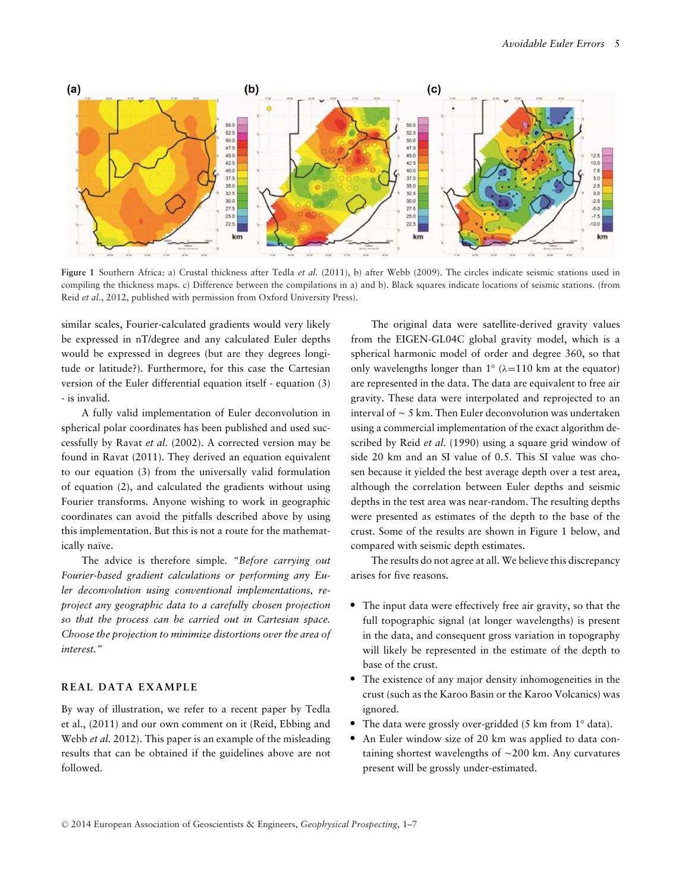

**Figure 1** Southern Africa: a) Crustal thickness after Tedla *et al.* (2011), b) after Webb (2009). The circles indicate seismic stations used in compiling the thickness maps. c) Difference between the compilations in a) and b). Black squares indicate locations of seismic stations. (from Reid *et al.*, 2012, published with permission from Oxford University Press).

similar scales, Fourier-calculated gradients would very likely be expressed in nT/degree and any calculated Euler depths would be expressed in degrees (but are they degrees longitude or latitude?). Furthermore, for this case the Cartesian version of the Euler differential equation itself - equation (3) - is invalid.

A fully valid implementation of Euler deconvolution in spherical polar coordinates has been published and used successfully by Ravat *et al.* (2002). A corrected version may be found in Ravat (2011). They derived an equation equivalent to our equation (3) from the universally valid formulation of equation (2), and calculated the gradients without using Fourier transforms. Anyone wishing to work in geographic coordinates can avoid the pitfalls described above by using this implementation. But this is not a route for the mathematically naïve.

The advice is therefore simple. *"Before carrying out Fourier-based gradient calculations or performing any Euler deconvolution using conventional implementations, reproject any geographic data to a carefully chosen projection so that the process can be carried out in Cartesian space. Choose the projection to minimize distortions over the area of interest."*

## **REAL DATA EXAMPLE**

By way of illustration, we refer to a recent paper by Tedla et al., (2011) and our own comment on it (Reid, Ebbing and Webb *et al.* 2012). This paper is an example of the misleading results that can be obtained if the guidelines above are not followed.

The original data were satellite-derived gravity values from the EIGEN-GL04C global gravity model, which is a spherical harmonic model of order and degree 360, so that only wavelengths longer than  $1^{\circ}$  ( $\lambda$ =110 km at the equator) are represented in the data. The data are equivalent to free air gravity. These data were interpolated and reprojected to an interval of  $\sim$  5 km. Then Euler deconvolution was undertaken using a commercial implementation of the exact algorithm described by Reid *et al.* (1990) using a square grid window of side 20 km and an SI value of 0.5. This SI value was chosen because it yielded the best average depth over a test area, although the correlation between Euler depths and seismic depths in the test area was near-random. The resulting depths were presented as estimates of the depth to the base of the crust. Some of the results are shown in Figure 1 below, and compared with seismic depth estimates.

The results do not agree at all. We believe this discrepancy arises for five reasons.

- The input data were effectively free air gravity, so that the full topographic signal (at longer wavelengths) is present in the data, and consequent gross variation in topography will likely be represented in the estimate of the depth to base of the crust.
- - The existence of any major density inhomogeneities in the crust (such as the Karoo Basin or the Karoo Volcanics) was ignored.
- The data were grossly over-gridded (5 km from 1° data).
- - An Euler window size of 20 km was applied to data containing shortest wavelengths of  $\sim$ 200 km. Any curvatures present will be grossly under-estimated.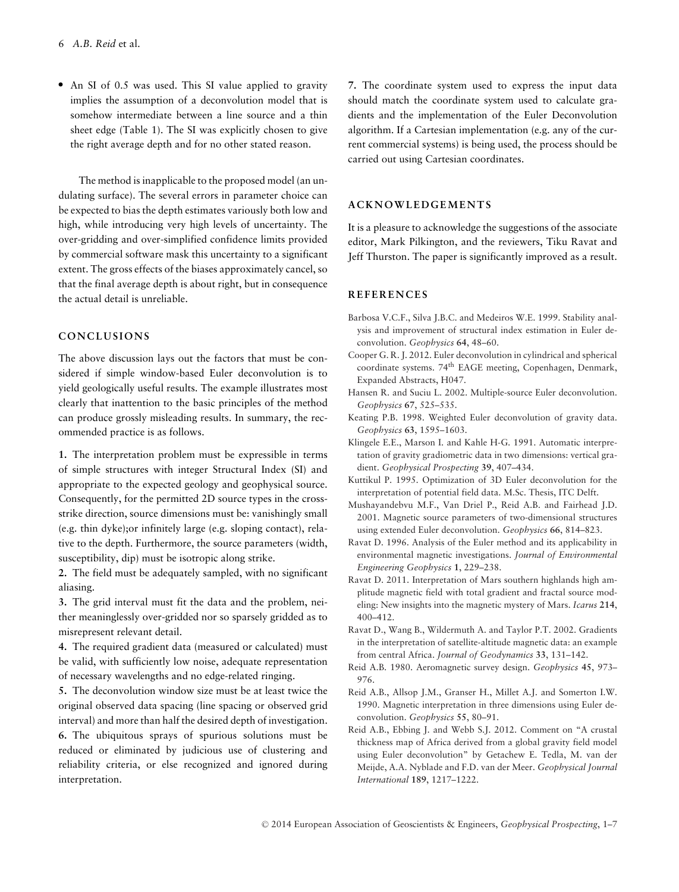- An SI of 0.5 was used. This SI value applied to gravity implies the assumption of a deconvolution model that is somehow intermediate between a line source and a thin sheet edge (Table 1). The SI was explicitly chosen to give the right average depth and for no other stated reason.

The method is inapplicable to the proposed model (an undulating surface). The several errors in parameter choice can be expected to bias the depth estimates variously both low and high, while introducing very high levels of uncertainty. The over-gridding and over-simplified confidence limits provided by commercial software mask this uncertainty to a significant extent. The gross effects of the biases approximately cancel, so that the final average depth is about right, but in consequence the actual detail is unreliable.

## **CONCLUSIONS**

The above discussion lays out the factors that must be considered if simple window-based Euler deconvolution is to yield geologically useful results. The example illustrates most clearly that inattention to the basic principles of the method can produce grossly misleading results. In summary, the recommended practice is as follows.

**1.** The interpretation problem must be expressible in terms of simple structures with integer Structural Index (SI) and appropriate to the expected geology and geophysical source. Consequently, for the permitted 2D source types in the crossstrike direction, source dimensions must be: vanishingly small (e.g. thin dyke);or infinitely large (e.g. sloping contact), relative to the depth. Furthermore, the source parameters (width, susceptibility, dip) must be isotropic along strike.

**2.** The field must be adequately sampled, with no significant aliasing.

**3.** The grid interval must fit the data and the problem, neither meaninglessly over-gridded nor so sparsely gridded as to misrepresent relevant detail.

**4.** The required gradient data (measured or calculated) must be valid, with sufficiently low noise, adequate representation of necessary wavelengths and no edge-related ringing.

**5.** The deconvolution window size must be at least twice the original observed data spacing (line spacing or observed grid interval) and more than half the desired depth of investigation. **6.** The ubiquitous sprays of spurious solutions must be reduced or eliminated by judicious use of clustering and reliability criteria, or else recognized and ignored during interpretation.

**7.** The coordinate system used to express the input data should match the coordinate system used to calculate gradients and the implementation of the Euler Deconvolution algorithm. If a Cartesian implementation (e.g. any of the current commercial systems) is being used, the process should be carried out using Cartesian coordinates.

## **ACKNOWLEDGEMENTS**

It is a pleasure to acknowledge the suggestions of the associate editor, Mark Pilkington, and the reviewers, Tiku Ravat and Jeff Thurston. The paper is significantly improved as a result.

## **REFERENCES**

- Barbosa V.C.F., Silva J.B.C. and Medeiros W.E. 1999. Stability analysis and improvement of structural index estimation in Euler deconvolution. *Geophysics* **64**, 48–60.
- Cooper G. R. J. 2012. Euler deconvolution in cylindrical and spherical coordinate systems. 74th EAGE meeting, Copenhagen, Denmark, Expanded Abstracts, H047.
- Hansen R. and Suciu L. 2002. Multiple-source Euler deconvolution. *Geophysics* **67**, 525–535.
- Keating P.B. 1998. Weighted Euler deconvolution of gravity data. *Geophysics* **63**, 1595–1603.
- Klingele E.E., Marson I. and Kahle H-G. 1991. Automatic interpretation of gravity gradiometric data in two dimensions: vertical gradient. *Geophysical Prospecting* **39**, 407–434.
- Kuttikul P. 1995. Optimization of 3D Euler deconvolution for the interpretation of potential field data. M.Sc. Thesis, ITC Delft.
- Mushayandebvu M.F., Van Driel P., Reid A.B. and Fairhead J.D. 2001. Magnetic source parameters of two-dimensional structures using extended Euler deconvolution. *Geophysics* **66**, 814–823.
- Ravat D. 1996. Analysis of the Euler method and its applicability in environmental magnetic investigations. *Journal of Environmental Engineering Geophysics* **1**, 229–238.
- Ravat D. 2011. Interpretation of Mars southern highlands high amplitude magnetic field with total gradient and fractal source modeling: New insights into the magnetic mystery of Mars. *Icarus* **214**, 400–412.
- Ravat D., Wang B., Wildermuth A. and Taylor P.T. 2002. Gradients in the interpretation of satellite-altitude magnetic data: an example from central Africa. *Journal of Geodynamics* **33**, 131–142.
- Reid A.B. 1980. Aeromagnetic survey design. *Geophysics* **45**, 973– 976.
- Reid A.B., Allsop J.M., Granser H., Millet A.J. and Somerton I.W. 1990. Magnetic interpretation in three dimensions using Euler deconvolution. *Geophysics* **55**, 80–91.
- Reid A.B., Ebbing J. and Webb S.J. 2012. Comment on "A crustal thickness map of Africa derived from a global gravity field model using Euler deconvolution" by Getachew E. Tedla, M. van der Meijde, A.A. Nyblade and F.D. van der Meer. *Geophysical Journal International* **189**, 1217–1222.